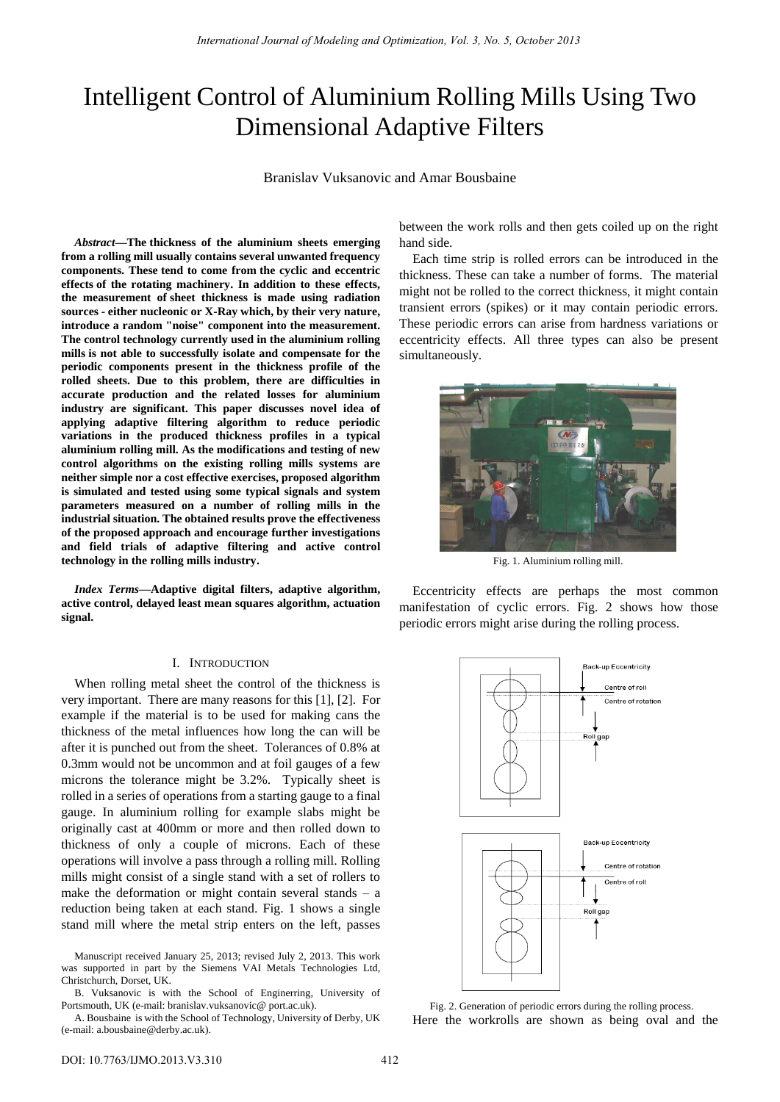# Intelligent Control of Aluminium Rolling Mills Using Two Dimensional Adaptive Filters

Branislav Vuksanovic and Amar Bousbaine

*Abstract***—The thickness of the aluminium sheets emerging from a rolling mill usually contains several unwanted frequency components. These tend to come from the cyclic and eccentric effects of the rotating machinery. In addition to these effects, the measurement of sheet thickness is made using radiation sources - either nucleonic or X-Ray which, by their very nature, introduce a random "noise" component into the measurement. The control technology currently used in the aluminium rolling mills is not able to successfully isolate and compensate for the periodic components present in the thickness profile of the rolled sheets. Due to this problem, there are difficulties in accurate production and the related losses for aluminium industry are significant. This paper discusses novel idea of applying adaptive filtering algorithm to reduce periodic variations in the produced thickness profiles in a typical aluminium rolling mill. As the modifications and testing of new control algorithms on the existing rolling mills systems are neither simple nor a cost effective exercises, proposed algorithm is simulated and tested using some typical signals and system parameters measured on a number of rolling mills in the industrial situation. The obtained results prove the effectiveness of the proposed approach and encourage further investigations and field trials of adaptive filtering and active control technology in the rolling mills industry.** 

*Index Terms***—Adaptive digital filters, adaptive algorithm, active control, delayed least mean squares algorithm, actuation signal.** 

#### I. INTRODUCTION

When rolling metal sheet the control of the thickness is very important. There are many reasons for this [1], [2]. For example if the material is to be used for making cans the thickness of the metal influences how long the can will be after it is punched out from the sheet. Tolerances of 0.8% at 0.3mm would not be uncommon and at foil gauges of a few microns the tolerance might be 3.2%. Typically sheet is rolled in a series of operations from a starting gauge to a final gauge. In aluminium rolling for example slabs might be originally cast at 400mm or more and then rolled down to thickness of only a couple of microns. Each of these operations will involve a pass through a rolling mill. Rolling mills might consist of a single stand with a set of rollers to make the deformation or might contain several stands – a reduction being taken at each stand. Fig. 1 shows a single stand mill where the metal strip enters on the left, passes

B. Vuksanovic is with the School of Enginerring, University of Portsmouth, UK (e-mail: branislav.vuksanovic@ port.ac.uk).

A. Bousbaine is with the School of Technology, University of Derby, UK (e-mail: a.bousbaine@derby.ac.uk).

between the work rolls and then gets coiled up on the right hand side.

Each time strip is rolled errors can be introduced in the thickness. These can take a number of forms. The material might not be rolled to the correct thickness, it might contain transient errors (spikes) or it may contain periodic errors. These periodic errors can arise from hardness variations or eccentricity effects. All three types can also be present simultaneously.



Fig. 1. Aluminium rolling mill.

Eccentricity effects are perhaps the most common manifestation of cyclic errors. Fig. 2 shows how those periodic errors might arise during the rolling process.



Fig. 2. Generation of periodic errors during the rolling process. Here the workrolls are shown as being oval and the

Manuscript received January 25, 2013; revised July 2, 2013. This work was supported in part by the Siemens VAI Metals Technologies Ltd, Christchurch, Dorset, UK.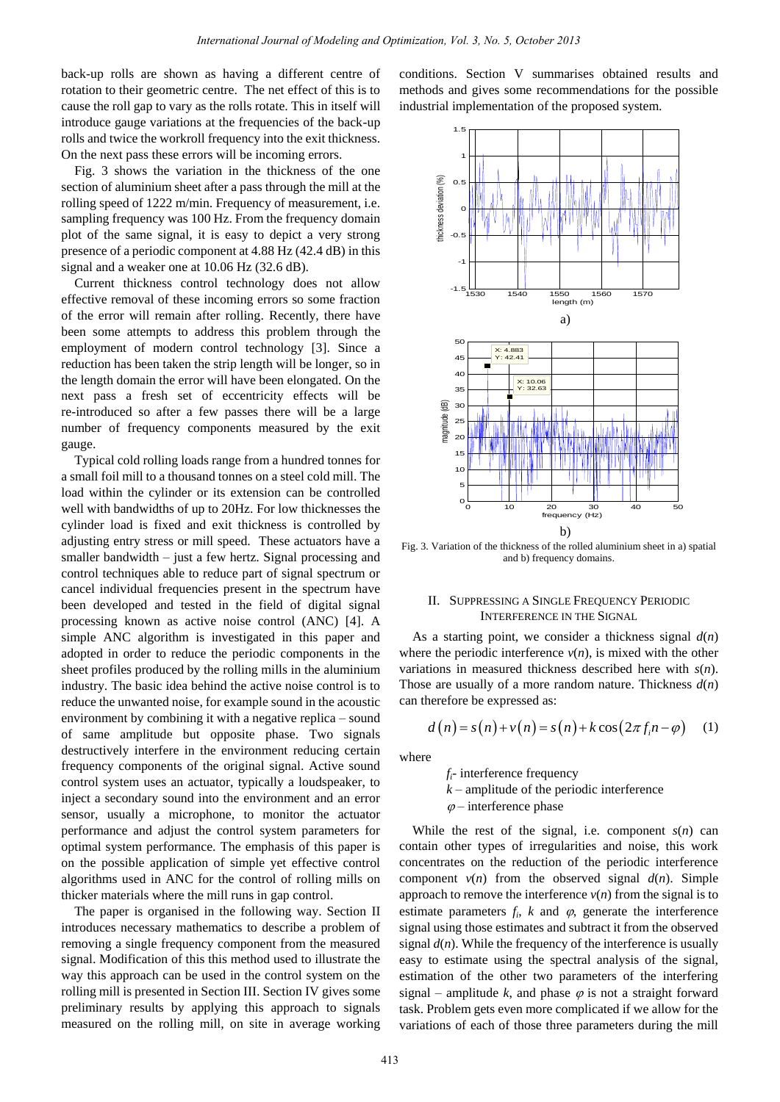back-up rolls are shown as having a different centre of rotation to their geometric centre. The net effect of this is to cause the roll gap to vary as the rolls rotate. This in itself will introduce gauge variations at the frequencies of the back-up rolls and twice the workroll frequency into the exit thickness. On the next pass these errors will be incoming errors.

Fig. 3 shows the variation in the thickness of the one section of aluminium sheet after a pass through the mill at the rolling speed of 1222 m/min. Frequency of measurement, i.e. sampling frequency was 100 Hz. From the frequency domain plot of the same signal, it is easy to depict a very strong presence of a periodic component at 4.88 Hz (42.4 dB) in this signal and a weaker one at 10.06 Hz (32.6 dB).

Current thickness control technology does not allow effective removal of these incoming errors so some fraction of the error will remain after rolling. Recently, there have been some attempts to address this problem through the employment of modern control technology  $[3]$ . Since a reduction has been taken the strip length will be longer, so in 1 the length domain the error will have been elongated. On the next pass a fresh set of eccentricity effects will be re-introduced so after a few passes there will be a large number of frequency components measured by the exit gauge. sh<br>aft<br>en

Typical cold rolling loads range from a hundred tonnes for a small foil mill to a thousand tonnes on a steel cold mill. The load within the cylinder or its extension can be controlled well with bandwidths of up to 20Hz. For low thicknesses the cylinder load is fixed and exit thickness is controlled by adjusting entry stress or mill speed. These actuators have a smaller bandwidth – just a few hertz. Signal processing and control techniques able to reduce part of signal spectrum or cancel individual frequencies present in the spectrum have been developed and tested in the field of digital signal processing known as active noise control (ANC) [4]. A simple ANC algorithm is investigated in this paper and adopted in order to reduce the periodic components in the sheet profiles produced by the rolling mills in the aluminium industry. The basic idea behind the active noise control is to reduce the unwanted noise, for example sound in the acoustic environment by combining it with a negative replica – sound of same amplitude but opposite phase. Two signals destructively interfere in the environment reducing certain frequency components of the original signal. Active sound control system uses an actuator, typically a loudspeaker, to inject a secondary sound into the environment and an error sensor, usually a microphone, to monitor the actuator performance and adjust the control system parameters for optimal system performance. The emphasis of this paper is on the possible application of simple yet effective control algorithms used in ANC for the control of rolling mills on thicker materials where the mill runs in gap control.

The paper is organised in the following way. Section II introduces necessary mathematics to describe a problem of removing a single frequency component from the measured signal. Modification of this this method used to illustrate the way this approach can be used in the control system on the rolling mill is presented in Section III. Section IV gives some preliminary results by applying this approach to signals measured on the rolling mill, on site in average working conditions. Section V summarises obtained results and methods and gives some recommendations for the possible industrial implementation of the proposed system.



Fig. 3. Variation of the thickness of the rolled aluminium sheet in a) spatial and b) frequency domains.

## II. SUPPRESSING A SINGLE FREQUENCY PERIODIC INTERFERENCE IN THE SIGNAL

As a starting point, we consider a thickness signal  $d(n)$ where the periodic interference  $v(n)$ , is mixed with the other variations in measured thickness described here with *s*(*n*). Those are usually of a more random nature. Thickness *d*(*n*)

can therefore be expressed as:  
\n
$$
d(n) = s(n) + v(n) = s(n) + k \cos(2\pi f_i n - \varphi)
$$
\n(1)

where

*fi*- interference frequency *k* – amplitude of the periodic interference  $\varphi$  – interference phase

While the rest of the signal, i.e. component  $s(n)$  can contain other types of irregularities and noise, this work concentrates on the reduction of the periodic interference component  $v(n)$  from the observed signal  $d(n)$ . Simple approach to remove the interference  $v(n)$  from the signal is to estimate parameters  $f_i$ ,  $k$  and  $\varphi$ , generate the interference signal using those estimates and subtract it from the observed signal  $d(n)$ . While the frequency of the interference is usually easy to estimate using the spectral analysis of the signal, estimation of the other two parameters of the interfering signal – amplitude  $k$ , and phase  $\varphi$  is not a straight forward task. Problem gets even more complicated if we allow for the variations of each of those three parameters during the mill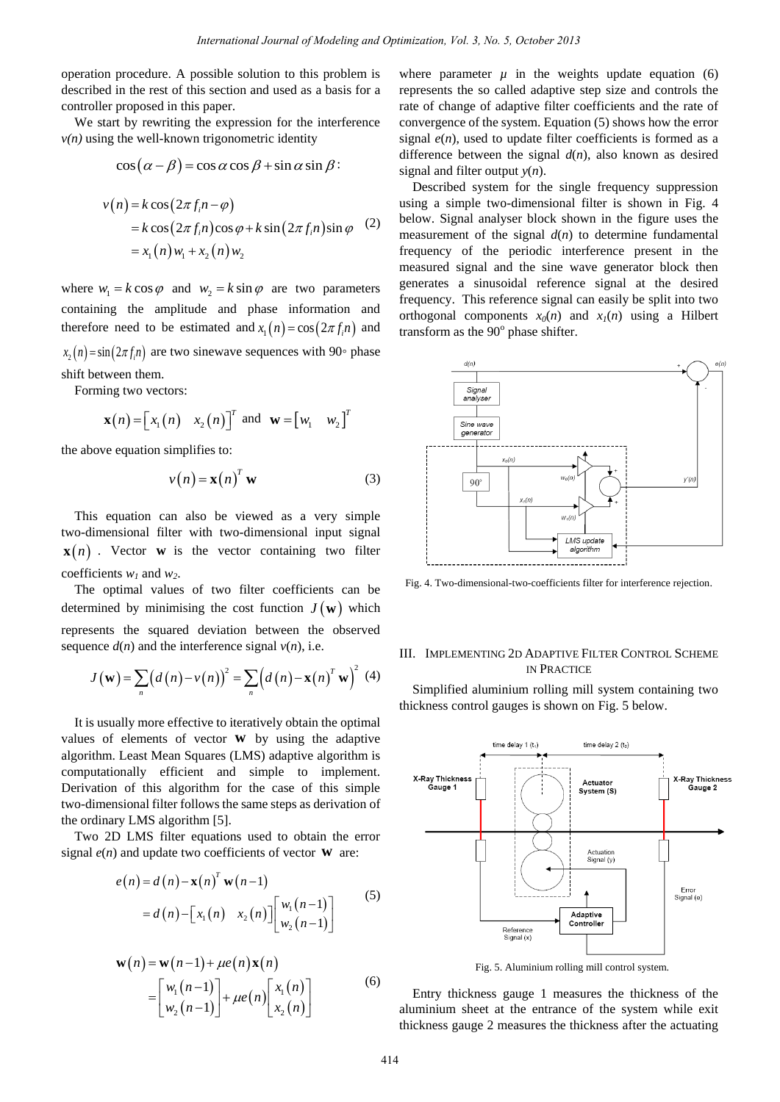operation procedure. A possible solution to this problem is described in the rest of this section and used as a basis for a controller proposed in this paper.

We start by rewriting the expression for the interference  $v(n)$  using the well-known trigonometric identity

$$
\cos(\alpha - \beta) = \cos\alpha \cos\beta + \sin\alpha \sin\beta
$$

$$
v(n) = k \cos(2\pi f_i n - \varphi)
$$
  
=  $k \cos(2\pi f_i n) \cos \varphi + k \sin(2\pi f_i n) \sin \varphi$  (2)  
=  $x_1(n) w_1 + x_2(n) w_2$ 

where  $w_1 = k \cos \varphi$  and  $w_2 = k \sin \varphi$  are two parameters containing the amplitude and phase information and therefore need to be estimated and  $x_1(n) = \cos(2\pi f_i n)$  and  $x_2(n) = \sin(2\pi f_i n)$  are two sinewave sequences with 90° phase shift between them.

Forming two vectors:

$$
\mathbf{x}(n) = [x_1(n) \ x_2(n)]^T
$$
 and  $\mathbf{w} = [w_1 \ w_2]^T$ 

the above equation simplifies to:

$$
v(n) = \mathbf{x}(n)^T \mathbf{w}
$$
 (3)

This equation can also be viewed as a very simple two-dimensional filter with two-dimensional input signal  $\mathbf{x}(n)$ . Vector **w** is the vector containing two filter coefficients *w1* and *w2*.

The optimal values of two filter coefficients can be determined by minimising the cost function  $J(\mathbf{w})$  which represents the squared deviation between the observed sequence  $d(n)$  and the interference signal  $v(n)$ , i.e.

sents the squared deviation between the observed  
ence 
$$
d(n)
$$
 and the interference signal  $v(n)$ , i.e.  

$$
J(\mathbf{w}) = \sum_{n} (d(n) - v(n))^2 = \sum_{n} (d(n) - \mathbf{x}(n)^T \mathbf{w})^2
$$
(4)

It is usually more effective to iteratively obtain the optimal values of elements of vector **w** by using the adaptive algorithm. Least Mean Squares (LMS) adaptive algorithm is computationally efficient and simple to implement. Derivation of this algorithm for the case of this simple two-dimensional filter follows the same steps as derivation of the ordinary LMS algorithm [5].

Two 2D LMS filter equations used to obtain the error signal  $e(n)$  and update two coefficients of vector  $w$  are:

$$
e(n) = d(n) - \mathbf{x}(n)^T \mathbf{w}(n-1)
$$
  
=  $d(n) - [x_1(n) x_2(n)] \begin{bmatrix} w_1(n-1) \\ w_2(n-1) \end{bmatrix}$  (5)

$$
\mathbf{w}(n) = \mathbf{w}(n-1) + \mu e(n) \mathbf{x}(n)
$$
  
=  $\begin{bmatrix} w_1(n-1) \\ w_2(n-1) \end{bmatrix} + \mu e(n) \begin{bmatrix} x_1(n) \\ x_2(n) \end{bmatrix}$  (6)

where parameter  $\mu$  in the weights update equation (6) represents the so called adaptive step size and controls the rate of change of adaptive filter coefficients and the rate of convergence of the system. Equation (5) shows how the error signal  $e(n)$ , used to update filter coefficients is formed as a difference between the signal *d*(*n*), also known as desired signal and filter output *y*(*n*).

Described system for the single frequency suppression using a simple two-dimensional filter is shown in Fig. 4 below. Signal analyser block shown in the figure uses the measurement of the signal  $d(n)$  to determine fundamental frequency of the periodic interference present in the measured signal and the sine wave generator block then generates a sinusoidal reference signal at the desired frequency. This reference signal can easily be split into two orthogonal components  $x_0(n)$  and  $x_1(n)$  using a Hilbert transform as the  $90^\circ$  phase shifter.



Fig. 4. Two-dimensional-two-coefficients filter for interference rejection.

# III. IMPLEMENTING 2D ADAPTIVE FILTER CONTROL SCHEME IN PRACTICE

Simplified aluminium rolling mill system containing two thickness control gauges is shown on Fig. 5 below.



Fig. 5. Aluminium rolling mill control system.

Entry thickness gauge 1 measures the thickness of the aluminium sheet at the entrance of the system while exit thickness gauge 2 measures the thickness after the actuating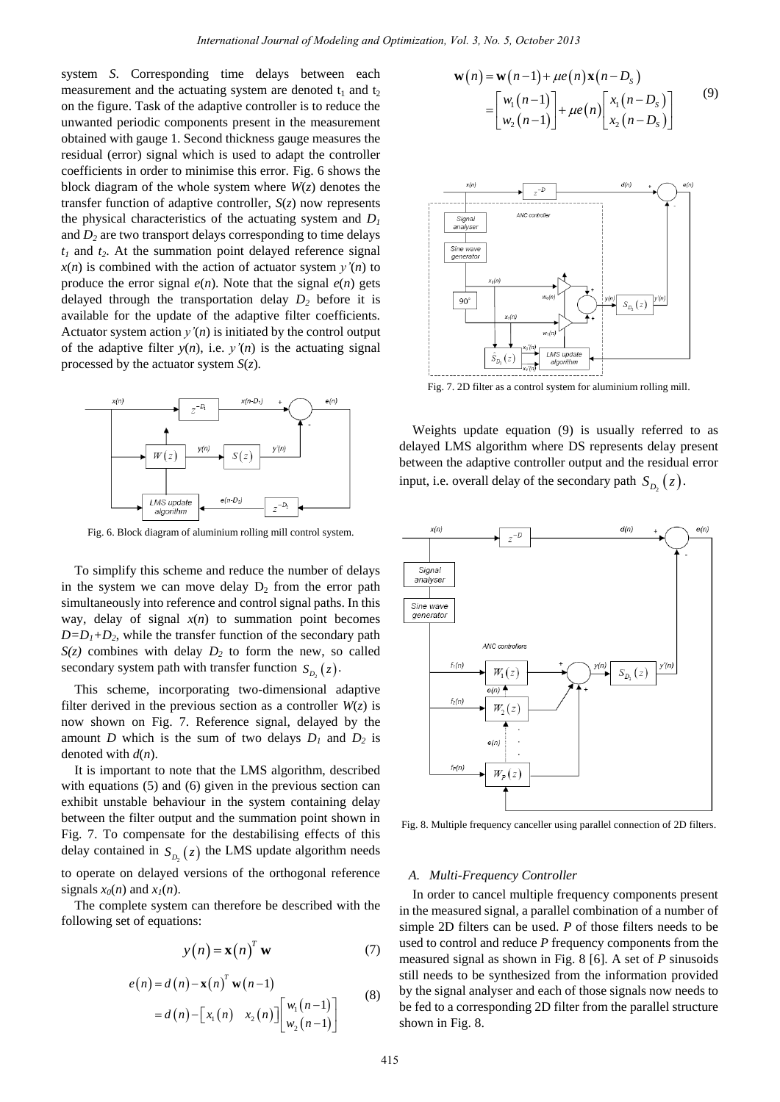system *S*. Corresponding time delays between each measurement and the actuating system are denoted  $t_1$  and  $t_2$ on the figure. Task of the adaptive controller is to reduce the unwanted periodic components present in the measurement obtained with gauge 1. Second thickness gauge measures the residual (error) signal which is used to adapt the controller coefficients in order to minimise this error. Fig. 6 shows the block diagram of the whole system where  $W(z)$  denotes the transfer function of adaptive controller, *S*(*z*) now represents the physical characteristics of the actuating system and *D<sup>1</sup>* and  $D_2$  are two transport delays corresponding to time delays  $t_1$  and  $t_2$ . At the summation point delayed reference signal  $x(n)$  is combined with the action of actuator system  $y'(n)$  to produce the error signal  $e(n)$ . Note that the signal  $e(n)$  gets delayed through the transportation delay *D2* before it is available for the update of the adaptive filter coefficients. Actuator system action  $y'(n)$  is initiated by the control output of the adaptive filter  $y(n)$ , i.e.  $y'(n)$  is the actuating signal processed by the actuator system *S*(*z*).



Fig. 6. Block diagram of aluminium rolling mill control system.

To simplify this scheme and reduce the number of delays in the system we can move delay  $D_2$  from the error path simultaneously into reference and control signal paths. In this way, delay of signal *x*(*n*) to summation point becomes  $D=D_1+D_2$ , while the transfer function of the secondary path  $S(z)$  combines with delay  $D_2$  to form the new, so called secondary system path with transfer function  $S_{D_2}(z)$ .

This scheme, incorporating two-dimensional adaptive filter derived in the previous section as a controller  $W(z)$  is now shown on Fig. 7. Reference signal, delayed by the amount *D* which is the sum of two delays  $D_1$  and  $D_2$  is denoted with *d*(*n*).

It is important to note that the LMS algorithm, described with equations (5) and (6) given in the previous section can exhibit unstable behaviour in the system containing delay between the filter output and the summation point shown in Fig. 7. To compensate for the destabilising effects of this delay contained in  $S_{D_2}(z)$  the LMS update algorithm needs to operate on delayed versions of the orthogonal reference signals  $x_0(n)$  and  $x_1(n)$ .

The complete system can therefore be described with the following set of equations:

$$
y(n) = \mathbf{x}(n)^T \mathbf{w} \tag{7}
$$

$$
e(n) = d(n) - \mathbf{x}(n)^{T} \mathbf{w}(n-1)
$$
  
=  $d(n) - [x_1(n) x_2(n)] [w_1(n-1)]$  (8)

$$
\mathbf{w}(n) = \mathbf{w}(n-1) + \mu e(n) \mathbf{x}(n - D_s)
$$
  
= 
$$
\begin{bmatrix} w_1(n-1) \\ w_2(n-1) \end{bmatrix} + \mu e(n) \begin{bmatrix} x_1(n - D_s) \\ x_2(n - D_s) \end{bmatrix}
$$
 (9)



Fig. 7. 2D filter as a control system for aluminium rolling mill.

Weights update equation (9) is usually referred to as delayed LMS algorithm where DS represents delay present between the adaptive controller output and the residual error input, i.e. overall delay of the secondary path  $S_{D_2}(z)$ .



Fig. 8. Multiple frequency canceller using parallel connection of 2D filters.

#### *A. Multi-Frequency Controller*

In order to cancel multiple frequency components present in the measured signal, a parallel combination of a number of simple 2D filters can be used. *P* of those filters needs to be used to control and reduce *P* frequency components from the measured signal as shown in Fig. 8 [6]. A set of *P* sinusoids still needs to be synthesized from the information provided by the signal analyser and each of those signals now needs to be fed to a corresponding 2D filter from the parallel structure shown in Fig. 8.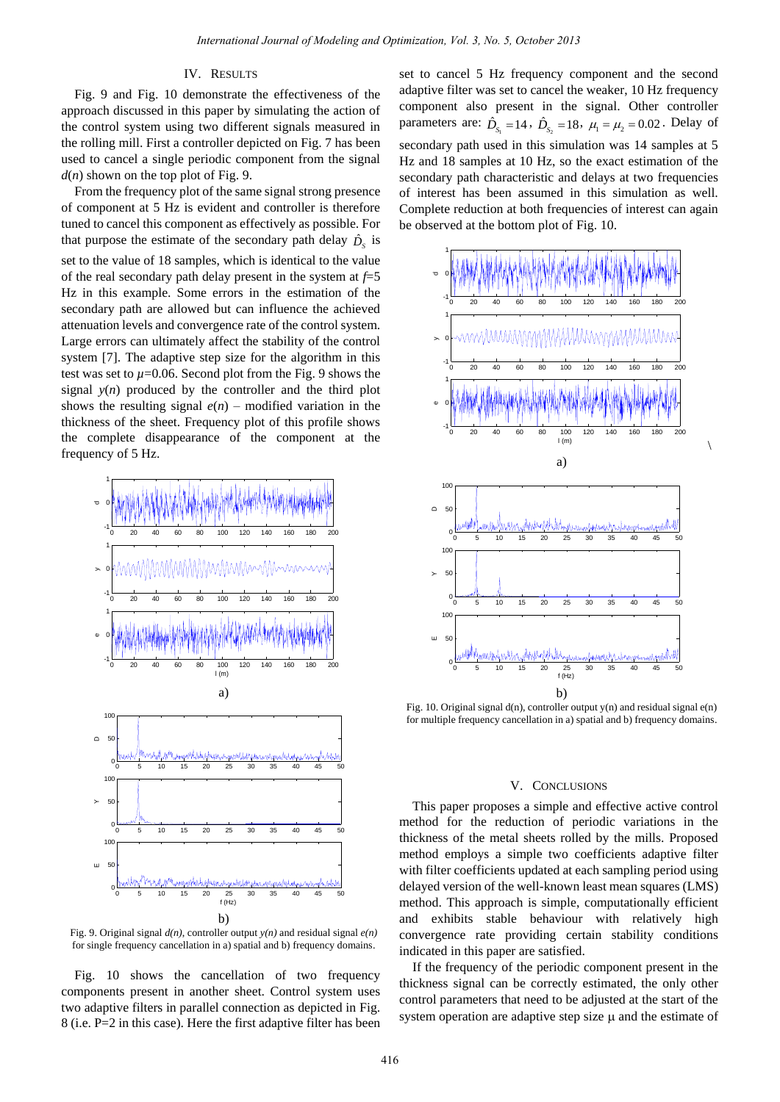## IV. RESULTS

Fig. 9 and Fig. 10 demonstrate the effectiveness of the approach discussed in this paper by simulating the action of the control system using two different signals measured in the rolling mill. First a controller depicted on Fig. 7 has been used to cancel a single periodic component from the signal *d*(*n*) shown on the top plot of Fig. 9.

From the frequency plot of the same signal strong presence of component at 5 Hz is evident and controller is therefore tuned to cancel this component as effectively as possible. For that purpose the estimate of the secondary path delay  $\hat{D}_s$  is set to the value of 18 samples, which is identical to the value of the real secondary path delay present in the system at *f*=5 Hz in this example. Some errors in the estimation of the secondary path are allowed but can influence the achieved attenuation levels and convergence rate of the control system. Large errors can ultimately affect the stability of the control system [7]. The adaptive step size for the algorithm in this test was set to  $\mu$ =0.06. Second plot from the Fig. 9 shows the signal  $y(n)$  produced by the controller and the third plot shows the resulting signal  $e(n)$  – modified variation in the thickness of the sheet. Frequency plot of this profile shows the complete disappearance of the component at the frequency of 5 Hz.



Fig. 9. Original signal *d(n)*, controller output *y(n)* and residual signal *e(n)* for single frequency cancellation in a) spatial and b) frequency domains.

Fig. 10 shows the cancellation of two frequency components present in another sheet. Control system uses two adaptive filters in parallel connection as depicted in Fig. 8 (i.e. P=2 in this case). Here the first adaptive filter has been

set to cancel 5 Hz frequency component and the second adaptive filter was set to cancel the weaker, 10 Hz frequency component also present in the signal. Other controller parameters are:  $\hat{D}_{S_1} = 14$ ,  $\hat{D}_{S_2} = 18$ ,  $\mu_1 = \mu_2 = 0.02$ . Delay of secondary path used in this simulation was 14 samples at 5 Hz and 18 samples at 10 Hz, so the exact estimation of the secondary path characteristic and delays at two frequencies of interest has been assumed in this simulation as well. Complete reduction at both frequencies of interest can again be observed at the bottom plot of Fig. 10.



Fig. 10. Original signal d(n), controller output y(n) and residual signal e(n) for multiple frequency cancellation in a) spatial and b) frequency domains.

#### V. CONCLUSIONS

This paper proposes a simple and effective active control method for the reduction of periodic variations in the thickness of the metal sheets rolled by the mills. Proposed method employs a simple two coefficients adaptive filter with filter coefficients updated at each sampling period using delayed version of the well-known least mean squares (LMS) method. This approach is simple, computationally efficient and exhibits stable behaviour with relatively high convergence rate providing certain stability conditions indicated in this paper are satisfied.

If the frequency of the periodic component present in the thickness signal can be correctly estimated, the only other control parameters that need to be adjusted at the start of the system operation are adaptive step size  $\mu$  and the estimate of